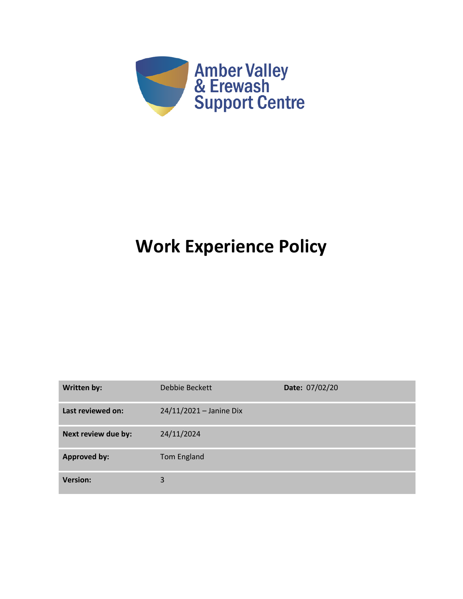

# **Work Experience Policy**

| Written by:         | Debbie Beckett          | Date: 07/02/20 |
|---------------------|-------------------------|----------------|
| Last reviewed on:   | 24/11/2021 - Janine Dix |                |
| Next review due by: | 24/11/2024              |                |
| <b>Approved by:</b> | Tom England             |                |
| <b>Version:</b>     | 3                       |                |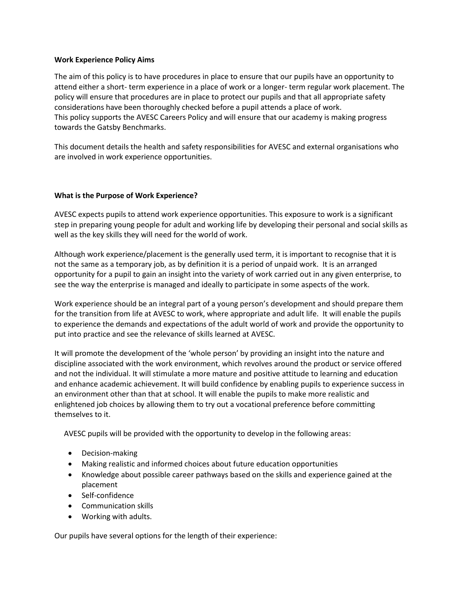## **Work Experience Policy Aims**

The aim of this policy is to have procedures in place to ensure that our pupils have an opportunity to attend either a short- term experience in a place of work or a longer- term regular work placement. The policy will ensure that procedures are in place to protect our pupils and that all appropriate safety considerations have been thoroughly checked before a pupil attends a place of work. This policy supports the AVESC Careers Policy and will ensure that our academy is making progress towards the Gatsby Benchmarks.

This document details the health and safety responsibilities for AVESC and external organisations who are involved in work experience opportunities.

# **What is the Purpose of Work Experience?**

AVESC expects pupils to attend work experience opportunities. This exposure to work is a significant step in preparing young people for adult and working life by developing their personal and social skills as well as the key skills they will need for the world of work.

Although work experience/placement is the generally used term, it is important to recognise that it is not the same as a temporary job, as by definition it is a period of unpaid work. It is an arranged opportunity for a pupil to gain an insight into the variety of work carried out in any given enterprise, to see the way the enterprise is managed and ideally to participate in some aspects of the work.

Work experience should be an integral part of a young person's development and should prepare them for the transition from life at AVESC to work, where appropriate and adult life. It will enable the pupils to experience the demands and expectations of the adult world of work and provide the opportunity to put into practice and see the relevance of skills learned at AVESC.

It will promote the development of the 'whole person' by providing an insight into the nature and discipline associated with the work environment, which revolves around the product or service offered and not the individual. It will stimulate a more mature and positive attitude to learning and education and enhance academic achievement. It will build confidence by enabling pupils to experience success in an environment other than that at school. It will enable the pupils to make more realistic and enlightened job choices by allowing them to try out a vocational preference before committing themselves to it.

AVESC pupils will be provided with the opportunity to develop in the following areas:

- Decision‐making
- Making realistic and informed choices about future education opportunities
- Knowledge about possible career pathways based on the skills and experience gained at the placement
- Self‐confidence
- Communication skills
- Working with adults.

Our pupils have several options for the length of their experience: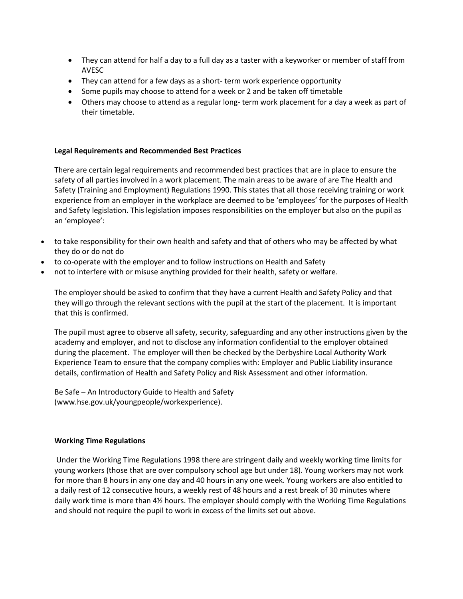- They can attend for half a day to a full day as a taster with a keyworker or member of staff from AVESC
- They can attend for a few days as a short- term work experience opportunity
- Some pupils may choose to attend for a week or 2 and be taken off timetable
- Others may choose to attend as a regular long- term work placement for a day a week as part of their timetable.

### **Legal Requirements and Recommended Best Practices**

There are certain legal requirements and recommended best practices that are in place to ensure the safety of all parties involved in a work placement. The main areas to be aware of are The Health and Safety (Training and Employment) Regulations 1990. This states that all those receiving training or work experience from an employer in the workplace are deemed to be 'employees' for the purposes of Health and Safety legislation. This legislation imposes responsibilities on the employer but also on the pupil as an 'employee':

- to take responsibility for their own health and safety and that of others who may be affected by what they do or do not do
- to co-operate with the employer and to follow instructions on Health and Safety
- not to interfere with or misuse anything provided for their health, safety or welfare.

The employer should be asked to confirm that they have a current Health and Safety Policy and that they will go through the relevant sections with the pupil at the start of the placement. It is important that this is confirmed.

The pupil must agree to observe all safety, security, safeguarding and any other instructions given by the academy and employer, and not to disclose any information confidential to the employer obtained during the placement. The employer will then be checked by the Derbyshire Local Authority Work Experience Team to ensure that the company complies with: Employer and Public Liability insurance details, confirmation of Health and Safety Policy and Risk Assessment and other information.

Be Safe – An Introductory Guide to Health and Safety (www.hse.gov.uk/youngpeople/workexperience).

# **Working Time Regulations**

Under the Working Time Regulations 1998 there are stringent daily and weekly working time limits for young workers (those that are over compulsory school age but under 18). Young workers may not work for more than 8 hours in any one day and 40 hours in any one week. Young workers are also entitled to a daily rest of 12 consecutive hours, a weekly rest of 48 hours and a rest break of 30 minutes where daily work time is more than 4½ hours. The employer should comply with the Working Time Regulations and should not require the pupil to work in excess of the limits set out above.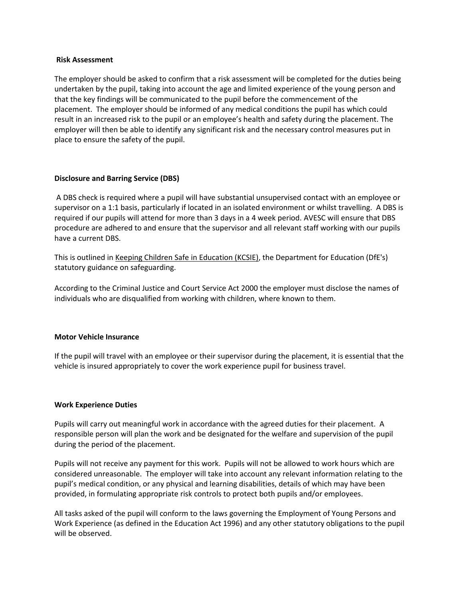#### **Risk Assessment**

The employer should be asked to confirm that a risk assessment will be completed for the duties being undertaken by the pupil, taking into account the age and limited experience of the young person and that the key findings will be communicated to the pupil before the commencement of the placement. The employer should be informed of any medical conditions the pupil has which could result in an increased risk to the pupil or an employee's health and safety during the placement. The employer will then be able to identify any significant risk and the necessary control measures put in place to ensure the safety of the pupil.

#### **Disclosure and Barring Service (DBS)**

A DBS check is required where a pupil will have substantial unsupervised contact with an employee or supervisor on a 1:1 basis, particularly if located in an isolated environment or whilst travelling. A DBS is required if our pupils will attend for more than 3 days in a 4 week period. AVESC will ensure that DBS procedure are adhered to and ensure that the supervisor and all relevant staff working with our pupils have a current DBS.

This is outlined i[n Keeping Children Safe in Education \(KCSIE\),](https://www.gov.uk/government/publications/keeping-children-safe-in-education--2) the Department for Education (DfE's) statutory guidance on safeguarding.

According to the Criminal Justice and Court Service Act 2000 the employer must disclose the names of individuals who are disqualified from working with children, where known to them.

#### **Motor Vehicle Insurance**

If the pupil will travel with an employee or their supervisor during the placement, it is essential that the vehicle is insured appropriately to cover the work experience pupil for business travel.

#### **Work Experience Duties**

Pupils will carry out meaningful work in accordance with the agreed duties for their placement. A responsible person will plan the work and be designated for the welfare and supervision of the pupil during the period of the placement.

Pupils will not receive any payment for this work. Pupils will not be allowed to work hours which are considered unreasonable. The employer will take into account any relevant information relating to the pupil's medical condition, or any physical and learning disabilities, details of which may have been provided, in formulating appropriate risk controls to protect both pupils and/or employees.

All tasks asked of the pupil will conform to the laws governing the Employment of Young Persons and Work Experience (as defined in the Education Act 1996) and any other statutory obligations to the pupil will be observed.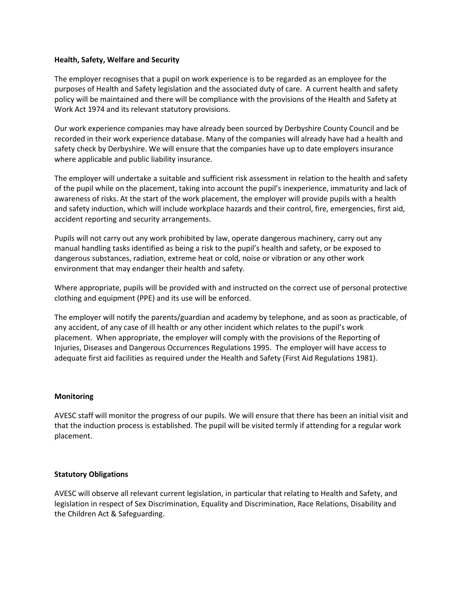## **Health, Safety, Welfare and Security**

The employer recognises that a pupil on work experience is to be regarded as an employee for the purposes of Health and Safety legislation and the associated duty of care. A current health and safety policy will be maintained and there will be compliance with the provisions of the Health and Safety at Work Act 1974 and its relevant statutory provisions.

Our work experience companies may have already been sourced by Derbyshire County Council and be recorded in their work experience database. Many of the companies will already have had a health and safety check by Derbyshire. We will ensure that the companies have up to date employers insurance where applicable and public liability insurance.

The employer will undertake a suitable and sufficient risk assessment in relation to the health and safety of the pupil while on the placement, taking into account the pupil's inexperience, immaturity and lack of awareness of risks. At the start of the work placement, the employer will provide pupils with a health and safety induction, which will include workplace hazards and their control, fire, emergencies, first aid, accident reporting and security arrangements.

Pupils will not carry out any work prohibited by law, operate dangerous machinery, carry out any manual handling tasks identified as being a risk to the pupil's health and safety, or be exposed to dangerous substances, radiation, extreme heat or cold, noise or vibration or any other work environment that may endanger their health and safety.

Where appropriate, pupils will be provided with and instructed on the correct use of personal protective clothing and equipment (PPE) and its use will be enforced.

The employer will notify the parents/guardian and academy by telephone, and as soon as practicable, of any accident, of any case of ill health or any other incident which relates to the pupil's work placement. When appropriate, the employer will comply with the provisions of the Reporting of Injuries, Diseases and Dangerous Occurrences Regulations 1995. The employer will have access to adequate first aid facilities as required under the Health and Safety (First Aid Regulations 1981).

#### **Monitoring**

AVESC staff will monitor the progress of our pupils. We will ensure that there has been an initial visit and that the induction process is established. The pupil will be visited termly if attending for a regular work placement.

# **Statutory Obligations**

AVESC will observe all relevant current legislation, in particular that relating to Health and Safety, and legislation in respect of Sex Discrimination, Equality and Discrimination, Race Relations, Disability and the Children Act & Safeguarding.